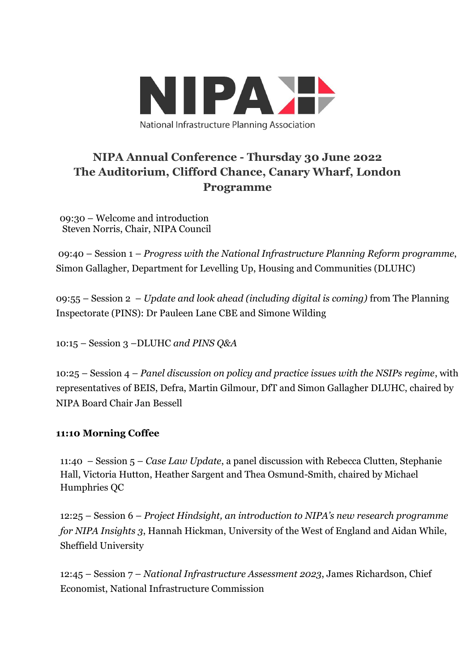

# **NIPA Annual Conference - Thursday 30 June 2022 The Auditorium, Clifford Chance, Canary Wharf, London Programme**

09:30 – Welcome and introduction Steven Norris, Chair, NIPA Council

09:40 – Session 1 – *Progress with the National Infrastructure Planning Reform programme*, Simon Gallagher, Department for Levelling Up, Housing and Communities (DLUHC)

09:55 – Session 2 – *Update and look ahead (including digital is coming)* from The Planning Inspectorate (PINS): Dr Pauleen Lane CBE and Simone Wilding

10:15 – Session 3 –DLUHC *and PINS Q&A*

10:25 – Session 4 – *Panel discussion on policy and practice issues with the NSIPs regime*, with representatives of BEIS, Defra, Martin Gilmour, DfT and Simon Gallagher DLUHC, chaired by NIPA Board Chair Jan Bessell

## **11:10 Morning Coffee**

11:40 – Session 5 – *Case Law Update*, a panel discussion with Rebecca Clutten, Stephanie Hall, Victoria Hutton, Heather Sargent and Thea Osmund-Smith, chaired by Michael Humphries QC

12:25 – Session 6 – *Project Hindsight, an introduction to NIPA's new research programme for NIPA Insights 3*, Hannah Hickman, University of the West of England and Aidan While, Sheffield University

12:45 – Session 7 – *National Infrastructure Assessment 2023*, James Richardson, Chief Economist, National Infrastructure Commission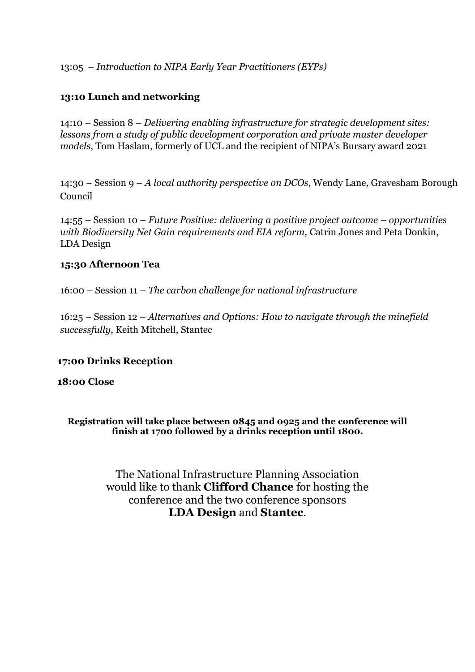13:05 – *Introduction to NIPA Early Year Practitioners (EYPs)*

# **13:10 Lunch and networking**

14:10 – Session 8 – *Delivering enabling infrastructure for strategic development sites: lessons from a study of public development corporation and private master developer models,* Tom Haslam, formerly of UCL and the recipient of NIPA's Bursary award 2021

14:30 – Session 9 – *A local authority perspective on DCOs*, Wendy Lane, Gravesham Borough Council

14:55 – Session 10 – *Future Positive: delivering a positive project outcome – opportunities with Biodiversity Net Gain requirements and EIA reform, Catrin Jones and Peta Donkin,* LDA Design

#### **15:30 Afternoon Tea**

16:00 – Session 11 – *The carbon challenge for national infrastructure*

16:25 – Session 12 – *Alternatives and Options: How to navigate through the minefield successfully,* Keith Mitchell, Stantec

## **17:00 Drinks Reception**

#### **18:00 Close**

**Registration will take place between 0845 and 0925 and the conference will finish at 1700 followed by a drinks reception until 1800.**

> The National Infrastructure Planning Association would like to thank **Clifford Chance** for hosting the conference and the two conference sponsors **LDA Design** and **Stantec**.